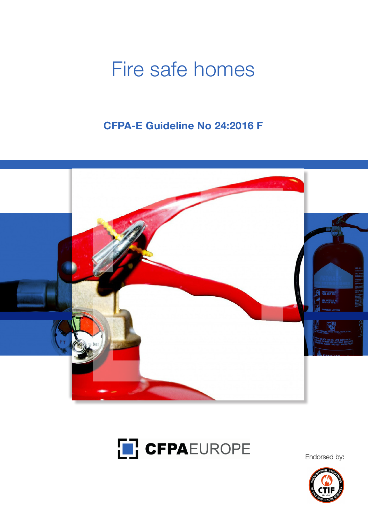# Fire safe homes

**CFPA-E Guideline No 24:2016 F**





Endorsed by:

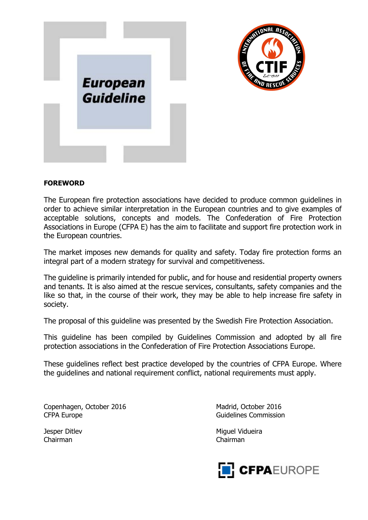



# **FOREWORD**

The European fire protection associations have decided to produce common guidelines in order to achieve similar interpretation in the European countries and to give examples of acceptable solutions, concepts and models. The Confederation of Fire Protection Associations in Europe (CFPA E) has the aim to facilitate and support fire protection work in the European countries.

The market imposes new demands for quality and safety. Today fire protection forms an integral part of a modern strategy for survival and competitiveness.

The guideline is primarily intended for public, and for house and residential property owners and tenants. It is also aimed at the rescue services, consultants, safety companies and the like so that, in the course of their work, they may be able to help increase fire safety in society.

The proposal of this guideline was presented by the Swedish Fire Protection Association.

This guideline has been compiled by Guidelines Commission and adopted by all fire protection associations in the Confederation of Fire Protection Associations Europe.

These guidelines reflect best practice developed by the countries of CFPA Europe. Where the guidelines and national requirement conflict, national requirements must apply.

Copenhagen, October 2016 Madrid, October 2016 CFPA Europe Guidelines Commission

Chairman Chairman

Jesper Ditlev Miguel Vidueira

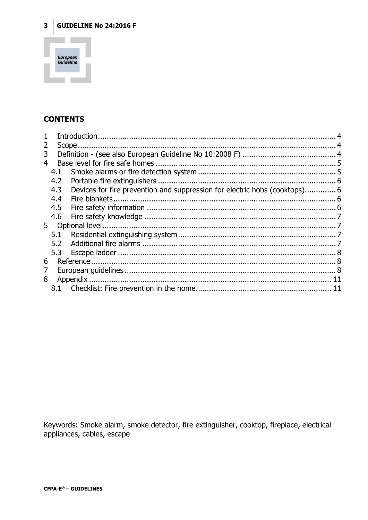#### **GUIDELINE No 24:2016 F**  $\overline{\mathbf{3}}$



# **CONTENTS**

| 3 |     |                                                                            |  |  |
|---|-----|----------------------------------------------------------------------------|--|--|
| 4 |     |                                                                            |  |  |
|   | 4.1 |                                                                            |  |  |
|   | 4.2 |                                                                            |  |  |
|   | 4.3 | Devices for fire prevention and suppression for electric hobs (cooktops) 6 |  |  |
|   | 4.4 |                                                                            |  |  |
|   | 4.5 |                                                                            |  |  |
|   | 4.6 |                                                                            |  |  |
|   |     |                                                                            |  |  |
|   | 5.1 |                                                                            |  |  |
|   | 5.2 |                                                                            |  |  |
|   | 5.3 |                                                                            |  |  |
| 6 |     |                                                                            |  |  |
| 7 |     |                                                                            |  |  |
| 8 |     |                                                                            |  |  |
|   |     |                                                                            |  |  |

Keywords: Smoke alarm, smoke detector, fire extinguisher, cooktop, fireplace, electrical appliances, cables, escape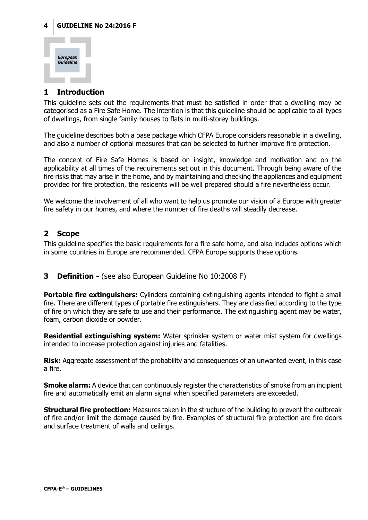

# <span id="page-3-0"></span>**1 Introduction**

This guideline sets out the requirements that must be satisfied in order that a dwelling may be categorised as a Fire Safe Home. The intention is that this guideline should be applicable to all types of dwellings, from single family houses to flats in multi-storey buildings.

The guideline describes both a base package which CFPA Europe considers reasonable in a dwelling, and also a number of optional measures that can be selected to further improve fire protection.

The concept of Fire Safe Homes is based on insight, knowledge and motivation and on the applicability at all times of the requirements set out in this document. Through being aware of the fire risks that may arise in the home, and by maintaining and checking the appliances and equipment provided for fire protection, the residents will be well prepared should a fire nevertheless occur.

We welcome the involvement of all who want to help us promote our vision of a Europe with greater fire safety in our homes, and where the number of fire deaths will steadily decrease.

# <span id="page-3-1"></span>**2 Scope**

This guideline specifies the basic requirements for a fire safe home, and also includes options which in some countries in Europe are recommended. CFPA Europe supports these options.

# <span id="page-3-2"></span>**3 Definition -** (see also European Guideline No 10:2008 F)

**Portable fire extinguishers:** Cylinders containing extinguishing agents intended to fight a small fire. There are different types of portable fire extinguishers. They are classified according to the type of fire on which they are safe to use and their performance. The extinguishing agent may be water, foam, carbon dioxide or powder.

**Residential extinguishing system:** Water sprinkler system or water mist system for dwellings intended to increase protection against injuries and fatalities.

**Risk:** Aggregate assessment of the probability and consequences of an unwanted event, in this case a fire.

**Smoke alarm:** A device that can continuously register the characteristics of smoke from an incipient fire and automatically emit an alarm signal when specified parameters are exceeded.

**Structural fire protection:** Measures taken in the structure of the building to prevent the outbreak of fire and/or limit the damage caused by fire. Examples of structural fire protection are fire doors and surface treatment of walls and ceilings.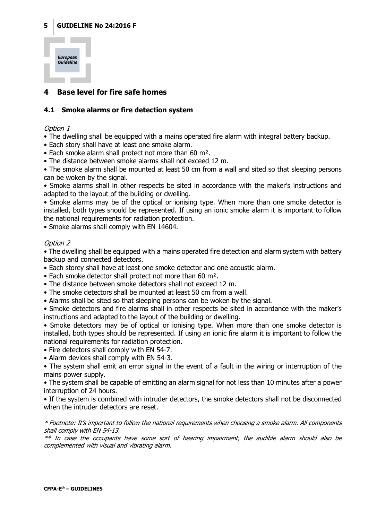

# <span id="page-4-0"></span>**4 Base level for fire safe homes**

#### <span id="page-4-1"></span>**4.1 Smoke alarms or fire detection system**

#### Option 1

- The dwelling shall be equipped with a mains operated fire alarm with integral battery backup.
- Each story shall have at least one smoke alarm.
- Each smoke alarm shall protect not more than 60 m².
- The distance between smoke alarms shall not exceed 12 m.

• The smoke alarm shall be mounted at least 50 cm from a wall and sited so that sleeping persons can be woken by the signal.

• Smoke alarms shall in other respects be sited in accordance with the maker's instructions and adapted to the layout of the building or dwelling.

• Smoke alarms may be of the optical or ionising type. When more than one smoke detector is installed, both types should be represented. If using an ionic smoke alarm it is important to follow the national requirements for radiation protection.

• Smoke alarms shall comply with EN 14604.

#### Option 2

• The dwelling shall be equipped with a mains operated fire detection and alarm system with battery backup and connected detectors.

- Each storey shall have at least one smoke detector and one acoustic alarm.
- Each smoke detector shall protect not more than 60 m².
- The distance between smoke detectors shall not exceed 12 m.
- The smoke detectors shall be mounted at least 50 cm from a wall.
- Alarms shall be sited so that sleeping persons can be woken by the signal.

• Smoke detectors and fire alarms shall in other respects be sited in accordance with the maker's instructions and adapted to the layout of the building or dwelling.

• Smoke detectors may be of optical or ionising type. When more than one smoke detector is installed, both types should be represented. If using an ionic fire alarm it is important to follow the national requirements for radiation protection.

• Fire detectors shall comply with EN 54-7.

• Alarm devices shall comply with EN 54-3.

• The system shall emit an error signal in the event of a fault in the wiring or interruption of the mains power supply.

• The system shall be capable of emitting an alarm signal for not less than 10 minutes after a power interruption of 24 hours.

• If the system is combined with intruder detectors, the smoke detectors shall not be disconnected when the intruder detectors are reset.

\* Footnote: It's important to follow the national requirements when choosing a smoke alarm. All components shall comply with EN 54-13.

\*\* In case the occupants have some sort of hearing impairment, the audible alarm should also be complemented with visual and vibrating alarm.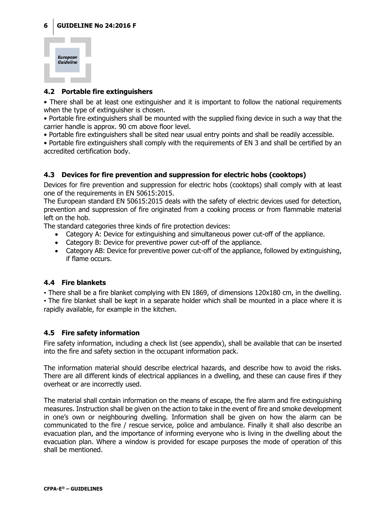

#### <span id="page-5-0"></span>**4.2 Portable fire extinguishers**

• There shall be at least one extinguisher and it is important to follow the national requirements when the type of extinguisher is chosen.

• Portable fire extinguishers shall be mounted with the supplied fixing device in such a way that the carrier handle is approx. 90 cm above floor level.

• Portable fire extinguishers shall be sited near usual entry points and shall be readily accessible.

• Portable fire extinguishers shall comply with the requirements of EN 3 and shall be certified by an accredited certification body.

#### <span id="page-5-1"></span>**4.3 Devices for fire prevention and suppression for electric hobs (cooktops)**

Devices for fire prevention and suppression for electric hobs (cooktops) shall comply with at least one of the requirements in EN 50615:2015.

The European standard EN 50615:2015 deals with the safety of electric devices used for detection, prevention and suppression of fire originated from a cooking process or from flammable material left on the hob.

The standard categories three kinds of fire protection devices:

- Category A: Device for extinguishing and simultaneous power cut-off of the appliance.
- Category B: Device for preventive power cut-off of the appliance.
- Category AB: Device for preventive power cut-off of the appliance, followed by extinguishing, if flame occurs.

#### <span id="page-5-2"></span>**4.4 Fire blankets**

• There shall be a fire blanket complying with EN 1869, of dimensions 120x180 cm, in the dwelling.

• The fire blanket shall be kept in a separate holder which shall be mounted in a place where it is rapidly available, for example in the kitchen.

#### <span id="page-5-3"></span>**4.5 Fire safety information**

Fire safety information, including a check list (see appendix), shall be available that can be inserted into the fire and safety section in the occupant information pack.

The information material should describe electrical hazards, and describe how to avoid the risks. There are all different kinds of electrical appliances in a dwelling, and these can cause fires if they overheat or are incorrectly used.

The material shall contain information on the means of escape, the fire alarm and fire extinguishing measures. Instruction shall be given on the action to take in the event of fire and smoke development in one's own or neighbouring dwelling. Information shall be given on how the alarm can be communicated to the fire / rescue service, police and ambulance. Finally it shall also describe an evacuation plan, and the importance of informing everyone who is living in the dwelling about the evacuation plan. Where a window is provided for escape purposes the mode of operation of this shall be mentioned.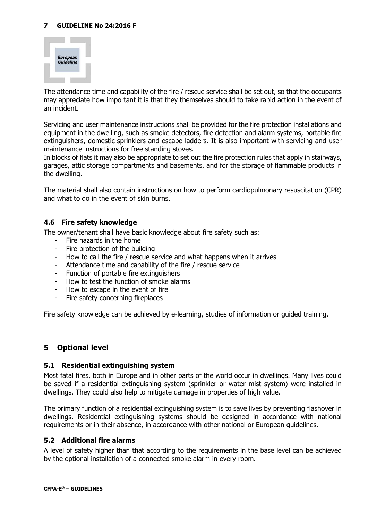

The attendance time and capability of the fire / rescue service shall be set out, so that the occupants may appreciate how important it is that they themselves should to take rapid action in the event of an incident.

Servicing and user maintenance instructions shall be provided for the fire protection installations and equipment in the dwelling, such as smoke detectors, fire detection and alarm systems, portable fire extinguishers, domestic sprinklers and escape ladders. It is also important with servicing and user maintenance instructions for free standing stoves.

In blocks of flats it may also be appropriate to set out the fire protection rules that apply in stairways, garages, attic storage compartments and basements, and for the storage of flammable products in the dwelling.

The material shall also contain instructions on how to perform cardiopulmonary resuscitation (CPR) and what to do in the event of skin burns.

#### <span id="page-6-0"></span>**4.6 Fire safety knowledge**

The owner/tenant shall have basic knowledge about fire safety such as:

- Fire hazards in the home
- Fire protection of the building
- How to call the fire / rescue service and what happens when it arrives
- Attendance time and capability of the fire / rescue service
- Function of portable fire extinguishers
- How to test the function of smoke alarms
- How to escape in the event of fire
- Fire safety concerning fireplaces

Fire safety knowledge can be achieved by e-learning, studies of information or guided training.

# <span id="page-6-1"></span>**5 Optional level**

#### <span id="page-6-2"></span>**5.1 Residential extinguishing system**

Most fatal fires, both in Europe and in other parts of the world occur in dwellings. Many lives could be saved if a residential extinguishing system (sprinkler or water mist system) were installed in dwellings. They could also help to mitigate damage in properties of high value.

The primary function of a residential extinguishing system is to save lives by preventing flashover in dwellings. Residential extinguishing systems should be designed in accordance with national requirements or in their absence, in accordance with other national or European guidelines.

#### <span id="page-6-3"></span>**5.2 Additional fire alarms**

A level of safety higher than that according to the requirements in the base level can be achieved by the optional installation of a connected smoke alarm in every room.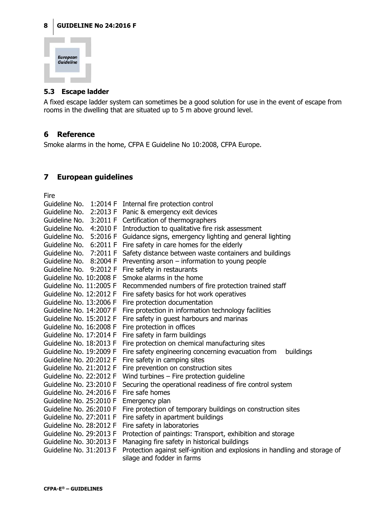

#### <span id="page-7-0"></span>**5.3 Escape ladder**

A fixed escape ladder system can sometimes be a good solution for use in the event of escape from rooms in the dwelling that are situated up to 5 m above ground level.

# <span id="page-7-1"></span>**6 Reference**

Smoke alarms in the home, CFPA E Guideline No 10:2008, CFPA Europe.

# <span id="page-7-2"></span>**7 European guidelines**

Fire

|                                |          | Guideline No. 1:2014 F Internal fire protection control                       |
|--------------------------------|----------|-------------------------------------------------------------------------------|
| Guideline No.                  |          | 2:2013 F Panic & emergency exit devices                                       |
| Guideline No.                  |          | 3:2011 F Certification of thermographers                                      |
| Guideline No.                  |          | 4:2010 F Introduction to qualitative fire risk assessment                     |
| Guideline No.                  |          | 5:2016 F Guidance signs, emergency lighting and general lighting              |
| Guideline No. 6:2011 F         |          | Fire safety in care homes for the elderly                                     |
|                                |          | Guideline No. 7:2011 F Safety distance between waste containers and buildings |
| Guideline No. 8:2004 F         |          | Preventing arson $-$ information to young people                              |
| Guideline No.                  | 9:2012 F | Fire safety in restaurants                                                    |
| Guideline No. 10:2008 F        |          | Smoke alarms in the home                                                      |
| Guideline No. 11:2005 F        |          | Recommended numbers of fire protection trained staff                          |
| Guideline No. 12:2012 F        |          | Fire safety basics for hot work operatives                                    |
| Guideline No. 13:2006 F        |          | Fire protection documentation                                                 |
| Guideline No. 14:2007 F        |          | Fire protection in information technology facilities                          |
| Guideline No. 15:2012 F        |          | Fire safety in guest harbours and marinas                                     |
| Guideline No. 16:2008 F        |          | Fire protection in offices                                                    |
| Guideline No. 17:2014 F        |          | Fire safety in farm buildings                                                 |
| Guideline No. 18:2013 F        |          | Fire protection on chemical manufacturing sites                               |
| Guideline No. 19:2009 F        |          | Fire safety engineering concerning evacuation from<br>buildings               |
| Guideline No. 20:2012 F        |          | Fire safety in camping sites                                                  |
| <b>Guideline No. 21:2012 F</b> |          | Fire prevention on construction sites                                         |
| <b>Guideline No. 22:2012 F</b> |          | Wind turbines $-$ Fire protection guideline                                   |
| Guideline No. 23:2010 F        |          | Securing the operational readiness of fire control system                     |
| Guideline No. 24:2016 F        |          | Fire safe homes                                                               |
| Guideline No. 25:2010 F        |          | Emergency plan                                                                |
| Guideline No. 26:2010 F        |          | Fire protection of temporary buildings on construction sites                  |
| Guideline No. 27:2011 F        |          | Fire safety in apartment buildings                                            |
| Guideline No. 28:2012 F        |          | Fire safety in laboratories                                                   |
| Guideline No. 29:2013 F        |          | Protection of paintings: Transport, exhibition and storage                    |
| Guideline No. 30:2013 F        |          | Managing fire safety in historical buildings                                  |
| Guideline No. 31:2013 F        |          | Protection against self-ignition and explosions in handling and storage of    |
|                                |          | silage and fodder in farms                                                    |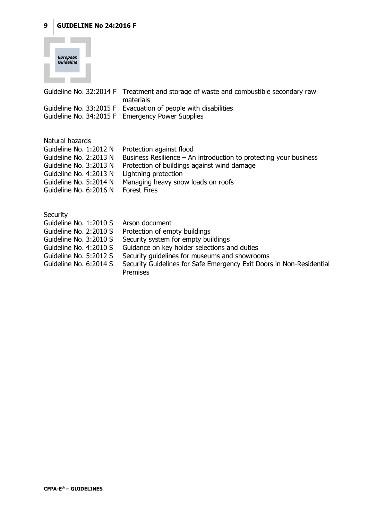

|                 | Guideline No. 32:2014 F Treatment and storage of waste and combustible secondary raw<br>materials |
|-----------------|---------------------------------------------------------------------------------------------------|
|                 | Guideline No. 33:2015 F Evacuation of people with disabilities                                    |
|                 | Guideline No. 34:2015 F Emergency Power Supplies                                                  |
|                 |                                                                                                   |
| Notural bazarde |                                                                                                   |

| Natural hazards        |                                                                   |
|------------------------|-------------------------------------------------------------------|
| Guideline No. 1:2012 N | Protection against flood                                          |
| Guideline No. 2:2013 N | Business Resilience – An introduction to protecting your business |
| Guideline No. 3:2013 N | Protection of buildings against wind damage                       |
| Guideline No. 4:2013 N | Lightning protection                                              |
| Guideline No. 5:2014 N | Managing heavy snow loads on roofs                                |
| Guideline No. 6:2016 N | <b>Forest Fires</b>                                               |
|                        |                                                                   |

| ecurity |
|---------|
|         |

| Guideline No. 1:2010 S | Arson document                                                       |
|------------------------|----------------------------------------------------------------------|
| Guideline No. 2:2010 S | Protection of empty buildings                                        |
| Guideline No. 3:2010 S | Security system for empty buildings                                  |
| Guideline No. 4:2010 S | Guidance on key holder selections and duties                         |
| Guideline No. 5:2012 S | Security guidelines for museums and showrooms                        |
| Guideline No. 6:2014 S | Security Guidelines for Safe Emergency Exit Doors in Non-Residential |
|                        | Premises                                                             |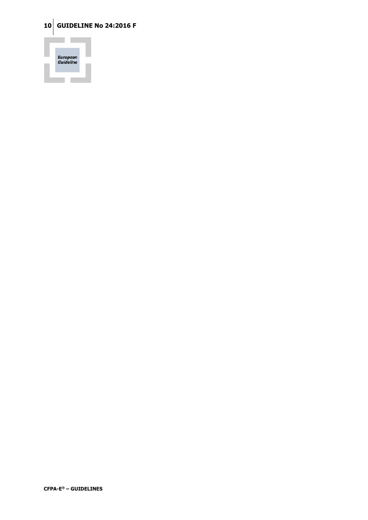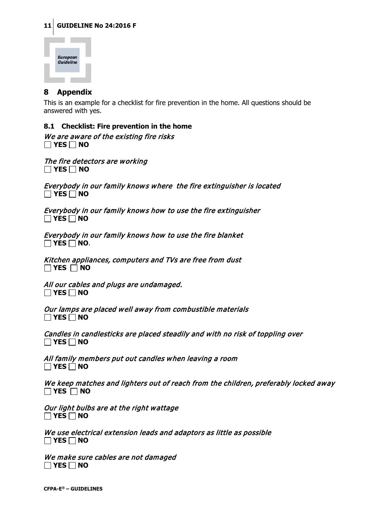

# <span id="page-10-0"></span>**8 Appendix**

This is an example for a checklist for fire prevention in the home. All questions should be answered with yes.

## <span id="page-10-1"></span>**8.1 Checklist: Fire prevention in the home**

We are aware of the existing fire risks  $\Box$  YES  $\Box$  NO

The fire detectors are working **YES NO**

Everybody in our family knows where the fire extinguisher is located  $\Box$  YES  $\Box$  NO

Everybody in our family knows how to use the fire extinguisher  $\Box$  YES  $\Box$  NO

Everybody in our family knows how to use the fire blanket  $\Box$  YES  $\Box$  NO.

Kitchen appliances, computers and TVs are free from dust  $\Box$  YES  $\Box$  NO

All our cables and plugs are undamaged.  $\Box$  YES  $\Box$  NO

Our lamps are placed well away from combustible materials  $\Box$  YES  $\Box$  NO

Candles in candlesticks are placed steadily and with no risk of toppling over  $\Box$  YES  $\Box$  NO

All family members put out candles when leaving a room  $\Box$  YES  $\Box$  NO

We keep matches and lighters out of reach from the children, preferably locked away  $\Box$  YES  $\Box$  NO

Our light bulbs are at the right wattage  $\Box$  YES  $\Box$  NO

We use electrical extension leads and adaptors as little as possible **YES NO** 

We make sure cables are not damaged  $\Box$  YES  $\Box$  NO